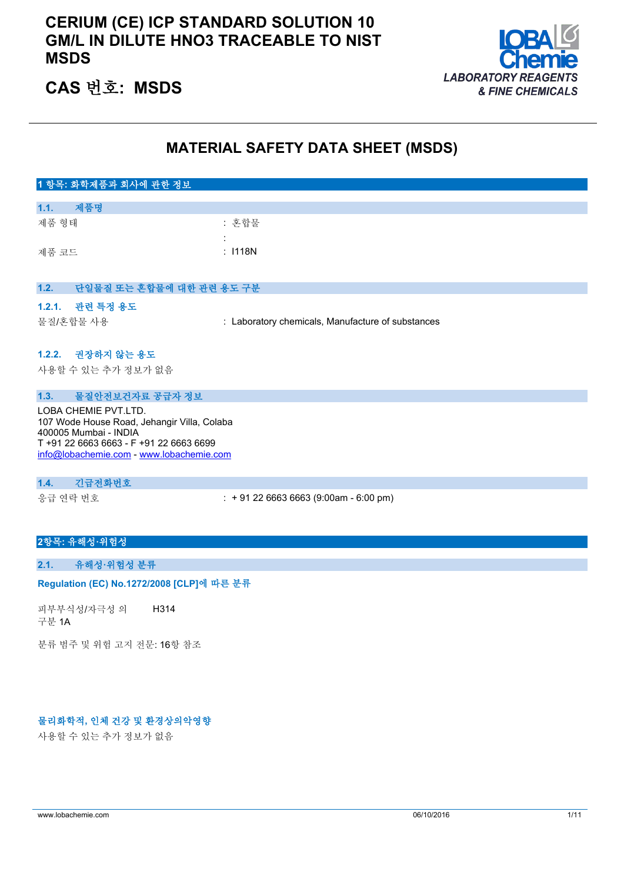# **CERIUM (CE) ICP STANDARD SOLUTION 10 GM/L IN DILUTE HNO3 TRACEABLE TO NIST MSDS**



# **CAS 번호: MSDS**

# **MATERIAL SAFETY DATA SHEET (MSDS)**

# **1 항목: 화학제품과 회사에 관한 정보 1.1. 제품명** 제품 형태 : 한 후 기능 : 혼합물 : 제품 코드 : I118N **1.2. 단일물질 또는 혼합물에 대한 관련 용도 구분 1.2.1. 관련 특정 용도** 물질/혼합물 사용 : Laboratory chemicals, Manufacture of substances **1.2.2. 권장하지 않는 용도** 사용할 수 있는 추가 정보가 없음 **1.3. 물질안전보건자료 공급자 정보**

LOBA CHEMIE PVT.LTD. 107 Wode House Road, Jehangir Villa, Colaba 400005 Mumbai - INDIA T +91 22 6663 6663 - F +91 22 6663 6699 [info@lobachemie.com](mailto:info@lobachemie.com) - <www.lobachemie.com>

### **1.4. 긴급전화번호**

응급 연락 번호 : + 91 22 6663 6663 (9:00am - 6:00 pm)

### **2항목: 유해성·위험성**

#### **2.1. 유해성·위험성 분류**

#### Regulation (EC) No.1272/2008 [CLP]에 따른 분류

피부부식성/자극성 의 구분 1A H314

분류 범주 및 위험 고지 전문: 16항 참조

### **물리화학적, 인체 건강 및 환경상의악영향**

사용할 수 있는 추가 정보가 없음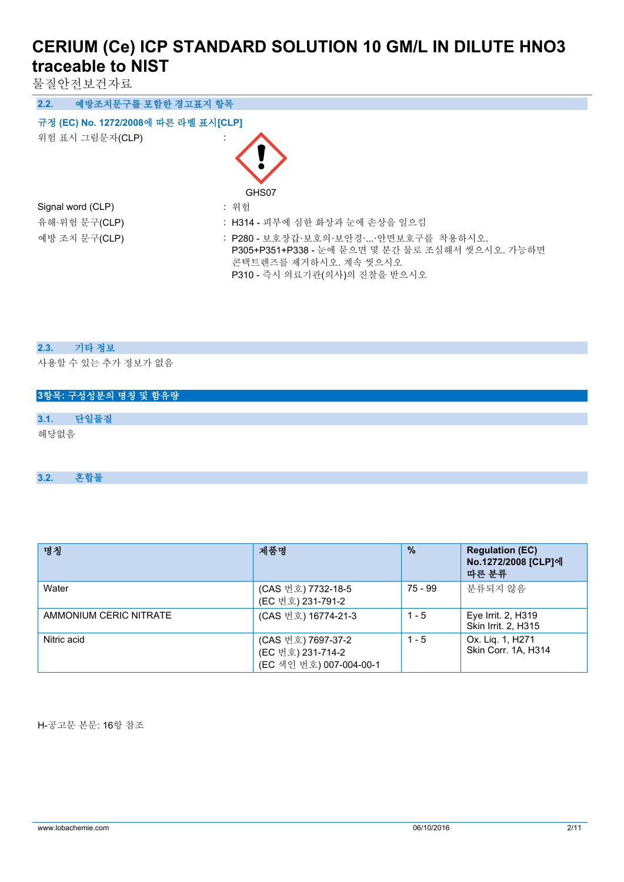물질안전보건자료

| 예방조치문구를 포함한 경고표지 항목<br>2.2.          |                                                                                                                                                  |  |  |  |  |  |
|--------------------------------------|--------------------------------------------------------------------------------------------------------------------------------------------------|--|--|--|--|--|
| 규정 (EC) No. 1272/2008에 따른 라벨 표시[CLP] |                                                                                                                                                  |  |  |  |  |  |
| 위험 표시 그림문자(CLP)                      |                                                                                                                                                  |  |  |  |  |  |
|                                      | GHS07                                                                                                                                            |  |  |  |  |  |
| Signal word (CLP)                    | : 위험                                                                                                                                             |  |  |  |  |  |
| 유해·위험 문구(CLP)                        | : H314 - 피부에 심한 화상과 눈에 손상을 일으킴                                                                                                                   |  |  |  |  |  |
| 예방 조치 문구(CLP)                        | : P280 - 보호장갑·보호의·보안경··안면보호구를 착용하시오.<br>P305+P351+P338 - 눈에 묻으면 몇 분간 물로 조심해서 씻으시오. 가능하면<br>콘택트렌즈를 제거하시오. 계속 씻으시오<br>P310 - 즉시 의료기관(의사)의 진찰을 받으시오 |  |  |  |  |  |

### **2.3. 기타 정보**

사용할 수 있는 추가 정보가 없음

|      | 3항목: 구성성분의 명칭 및 함유량 |  |  |  |  |
|------|---------------------|--|--|--|--|
|      |                     |  |  |  |  |
| 3.1. | 단일물질                |  |  |  |  |
| 해당없음 |                     |  |  |  |  |

**3.2. 혼합물**

| 명칭                     | 제품명                                                                | $\frac{0}{2}$ | <b>Regulation (EC)</b><br>No.1272/2008 [CLP]에<br>따른 분류 |
|------------------------|--------------------------------------------------------------------|---------------|--------------------------------------------------------|
| Water                  | (CAS 번호) 7732-18-5<br>(EC 번호) 231-791-2                            | 75 - 99       | 분류되지 않음                                                |
| AMMONIUM CERIC NITRATE | (CAS 번호) 16774-21-3                                                | $1 - 5$       | Eye Irrit. 2, H319<br>Skin Irrit. 2, H315              |
| Nitric acid            | (CAS 번호) 7697-37-2<br>(EC 번호) 231-714-2<br>(EC 색인 번호) 007-004-00-1 | $1 - 5$       | Ox. Liq. 1, H271<br>Skin Corr. 1A, H314                |

H-공고문 본문: 16항 참조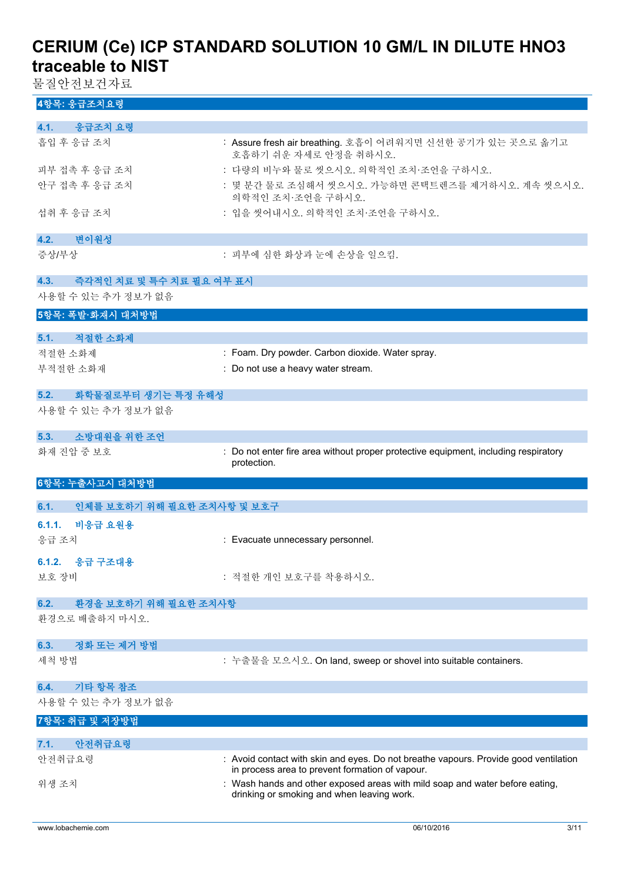물질안전보건자료

# **4항목: 응급조치요령**

| 4.1. 응급조치 요령                       |                                                                                     |
|------------------------------------|-------------------------------------------------------------------------------------|
| 흡입 후 응급 조치                         | : Assure fresh air breathing. 호흡이 어려워지면 신선한 공기가 있는 곳으로 옮기고<br>호흡하기 쉬운 자세로 안정을 취하시오. |
| 피부 접촉 후 응급 조치                      | : 다량의 비누와 물로 씻으시오. 의학적인 조치·조언을 구하시오.                                                |
| 안구 접촉 후 응급 조치                      | : 몇 분간 물로 조심해서 씻으시오. 가능하면 콘택트렌즈를 제거하시오. 계속 씻으시오.<br>의학적인 조치 조언을 구하시오.               |
| 섭취 후 응급 조치                         | : 입을 씻어내시오. 의학적인 조치 조언을 구하시오.                                                       |
| 4.2.<br>변이원성                       |                                                                                     |
| 증상/부상                              | : 피부에 심한 화상과 눈에 손상을 일으킴.                                                            |
| 4.3.<br>- 즉각적인 치료 및 특수 치료 필요 여부 표시 |                                                                                     |
| 사용할 수 있는 추가 정보가 없음                 |                                                                                     |
| 5항목: 폭발·화재시 대처방법                   |                                                                                     |
| 5.1.<br>적절한 소화제                    |                                                                                     |
| 적절한 소화제                            | : Foam. Dry powder. Carbon dioxide. Water spray.                                    |
| 부적절한 소화재                           | : Do not use a heavy water stream.                                                  |
|                                    |                                                                                     |

# **5.2. 화학물질로부터 생기는 특정 유해성**

사용할 수 있는 추가 정보가 없음

# **5.3. 소방대원을 위한 조언**

화재 진압 중 보호 **: Do not enter fire area without proper protective equipment, including respiratory** protection.

# **6항목: 누출사고시 대처방법**

| 6.1.  | 인체를 보호하기 위해 필요한 조치사항 및 보호구 |                                   |
|-------|----------------------------|-----------------------------------|
|       | 6.1.1. 비응급 요원용             |                                   |
| 응급 조치 |                            | : Evacuate unnecessary personnel. |
| 보호 장비 | 6.1.2. 응급 구조대용             | : 적절한 개인 보호구를 착용하시오.              |
|       | 6.2. 환경을 보호하기 위해 필요한 조치사항  |                                   |
|       | 환경으로 배출하지 마시오.             |                                   |

#### **6.3. 정화 또는 제거 방법**

세척 방법 The state of the head of health + 누출물을 모으시오. On land, sweep or shovel into suitable containers.

### **6.4. 기타 항목 참조**

사용할 수 있는 추가 정보가 없음

#### **7항목: 취급 및 저장방법**

| 아저취급요령<br>7.1. |                                                                                                                                         |
|----------------|-----------------------------------------------------------------------------------------------------------------------------------------|
| 안전취급요령         | : Avoid contact with skin and eyes. Do not breathe vapours. Provide good ventilation<br>in process area to prevent formation of vapour. |
| 위생 조치          | : Wash hands and other exposed areas with mild soap and water before eating.<br>drinking or smoking and when leaving work.              |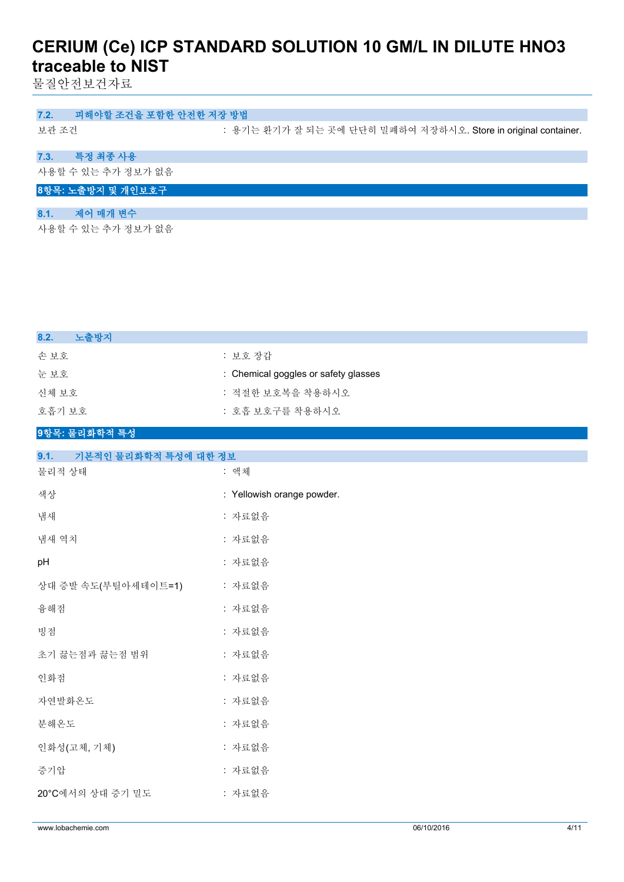물질안전보건자료

### **7.2. 피해야할 조건을 포함한 안전한 저장 방법**

보관 조건 : 용기는 환기가 잘 되는 곳에 단단히 밀폐하여 저장하시오. Store in original container.

# **7.3. 특정 최종 사용**

사용할 수 있는 추가 정보가 없음

# **8항목: 노출방지 및 개인보호구**

# **8.1. 제어 매개 변수**

사용할 수 있는 추가 정보가 없음

| 노출방지<br>8.2. |                                      |
|--------------|--------------------------------------|
| 손보호          | : 보호 장갑                              |
| 눈 보호         | : Chemical goggles or safety glasses |
| 신체 보호        | : 적절한 보호복을 착용하시오                     |
| 호흡기 보호       | : 호흡 보호구를 착용하시오                      |
|              |                                      |

### **9항목: 물리화학적 특성**

| 9.1.<br>기본적인 물리화학적 특성에 대한 정보 |                            |
|------------------------------|----------------------------|
| 물리적 상태                       | : 액체                       |
| 색상                           | : Yellowish orange powder. |
| 냄새                           | : 자료없음                     |
| 냄새 역치                        | : 자료없음                     |
| pH                           | : 자료없음                     |
| 상대 증발 속도(부틸아세테이트=1)          | : 자료없음                     |
| 융해점                          | : 자료없음                     |
| 빙점                           | : 자료없음                     |
| 초기 끓는점과 끓는점 범위               | : 자료없음                     |
| 인화점                          | : 자료없음                     |
| 자연발화온도                       | : 자료없음                     |
| 분해온도                         | : 자료없음                     |
| 인화성(고체, 기체)                  | : 자료없음                     |
| 증기압                          | : 자료없음                     |
| 20°C에서의 상대 증기 밀도             | : 자료없음                     |
|                              |                            |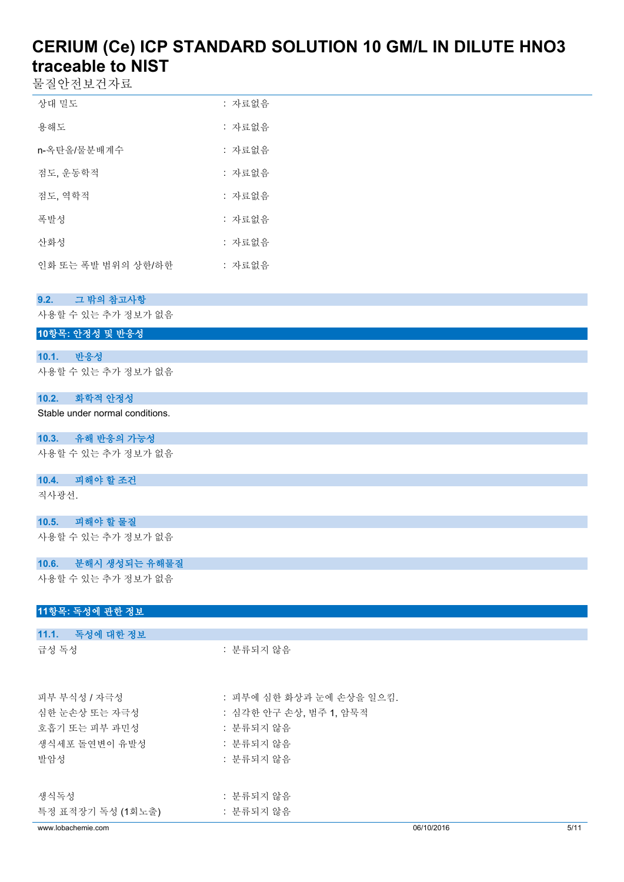물질안전보건자료

| 상대 밀도              | : 자료없음 |
|--------------------|--------|
| 용해도                | : 자료없음 |
| n-옥탄올/물분배계수        | : 자료없음 |
| 점도, 운동학적           | : 자료없음 |
| 젂도. 역학적            | : 자료없음 |
| 폭발성                | : 자료없음 |
| 사화성                | : 자료없음 |
| 인화 또는 폭발 범위의 상하/하한 | : 자료없음 |

# **9.2. 그 밖의 참고사항**

사용할 수 있는 추가 정보가 없음

# **10항목: 안정성 및 반응성**

### **10.1. 반응성**

사용할 수 있는 추가 정보가 없음

### **10.2. 화학적 안정성**

Stable under normal conditions.

### **10.3. 유해 반응의 가능성**

사용할 수 있는 추가 정보가 없음

#### **10.4. 피해야 할 조건**

직사광선.

# **10.5. 피해야 할 물질**

사용할 수 있는 추가 정보가 없음

### **10.6. 분해시 생성되는 유해물질**

사용할 수 있는 추가 정보가 없음

| 11항목: 독성에 관한 정보    |                          |            |      |
|--------------------|--------------------------|------------|------|
|                    |                          |            |      |
| 11.1. 독성에 대한 정보    |                          |            |      |
| 급성 독성              | : 분류되지 않음                |            |      |
|                    |                          |            |      |
|                    |                          |            |      |
| 피부 부식성 / 자극성       | : 피부에 심한 화상과 눈에 손상을 일으킴. |            |      |
| 심한 눈손상 또는 자극성      | : 심각한 안구 손상, 범주 1, 암묵적   |            |      |
| 호흡기 또는 피부 과민성      | : 분류되지 않음                |            |      |
| 생식세포 돌연변이 유발성      | : 분류되지 않음                |            |      |
| 발암성                | : 분류되지 않음                |            |      |
|                    |                          |            |      |
| 생식독성               | : 분류되지 않음                |            |      |
| 특정 표적장기 독성 (1회노출)  | : 분류되지 않음                |            |      |
| www.lobachemie.com |                          | 06/10/2016 | 5/11 |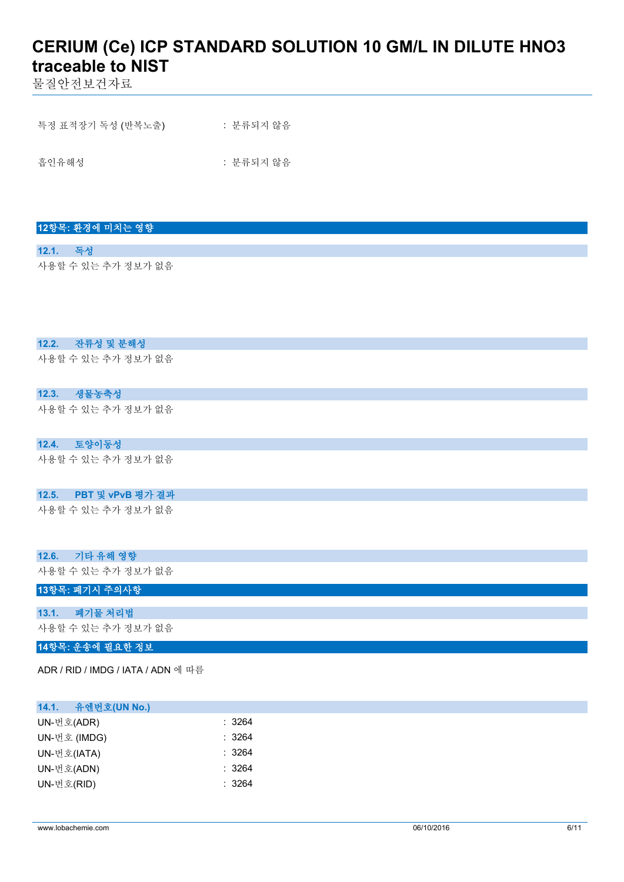물질안전보건자료

| 특정 표적장기 독성 (반복노출) | : 분류되지 않음 |
|-------------------|-----------|
|                   |           |
| 흡인유해성             | : 분류되지 않음 |

# **12항목: 환경에 미치는 영향**

**12.1. 독성** 사용할 수 있는 추가 정보가 없음

### **12.2. 잔류성 및 분해성**

사용할 수 있는 추가 정보가 없음

### **12.3. 생물농축성**

사용할 수 있는 추가 정보가 없음

#### **12.4. 토양이동성**

사용할 수 있는 추가 정보가 없음

#### **12.5. PBT 및 vPvB 평가 결과**

사용할 수 있는 추가 정보가 없음

| 12.6. 기타 유해 영향     |  |  |
|--------------------|--|--|
| 사용할 수 있는 추가 정보가 없음 |  |  |

# **13항목: 폐기시 주의사항**

# **13.1. 폐기물 처리법**

사용할 수 있는 추가 정보가 없음

# **14항목: 운송에 필요한 정보**

ADR / RID / IMDG / IATA / ADN 에 따름

### **14.1. 유엔번호(UN No.)**

| UN-번호(ADR)   | : 3264 |
|--------------|--------|
| UN-번호 (IMDG) | : 3264 |
| UN-번호(IATA)  | : 3264 |
| UN-번호(ADN)   | : 3264 |
| UN-번호(RID)   | : 3264 |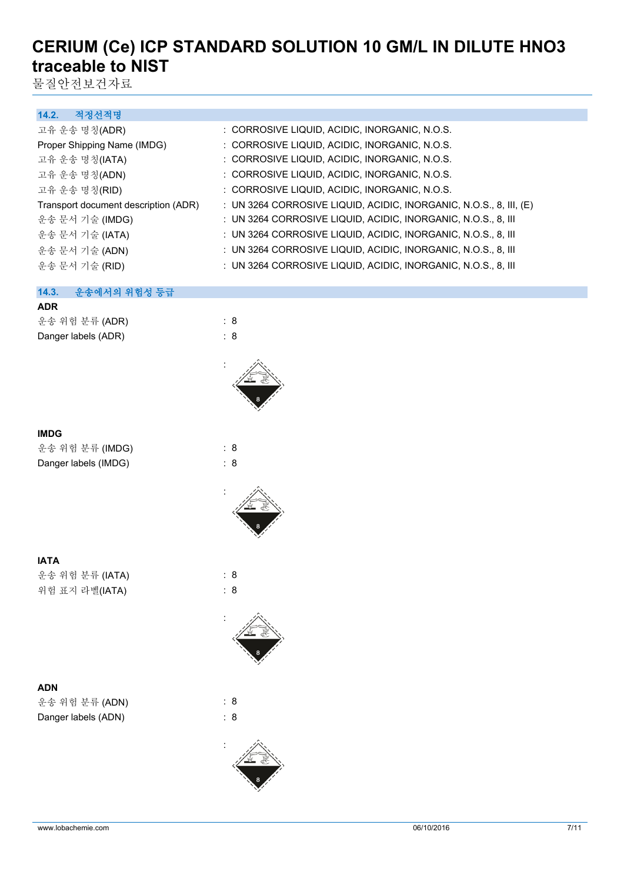물질안전보건자료

### **14.2. 적정선적명**

| : CORROSIVE LIQUID, ACIDIC, INORGANIC, N.O.S.                      |
|--------------------------------------------------------------------|
| : CORROSIVE LIQUID, ACIDIC, INORGANIC, N.O.S.                      |
| : CORROSIVE LIQUID, ACIDIC, INORGANIC, N.O.S.                      |
| : CORROSIVE LIQUID, ACIDIC, INORGANIC, N.O.S.                      |
| : CORROSIVE LIQUID, ACIDIC, INORGANIC, N.O.S.                      |
| : UN 3264 CORROSIVE LIQUID, ACIDIC, INORGANIC, N.O.S., 8, III, (E) |
| : UN 3264 CORROSIVE LIQUID, ACIDIC, INORGANIC, N.O.S., 8, III      |
| : UN 3264 CORROSIVE LIQUID, ACIDIC, INORGANIC, N.O.S., 8, III      |
| : UN 3264 CORROSIVE LIQUID, ACIDIC, INORGANIC, N.O.S., 8, III      |
| : UN 3264 CORROSIVE LIQUID, ACIDIC, INORGANIC, N.O.S., 8, III      |
|                                                                    |

### **14.3. 운송에서의 위험성 등급**

# **ADR**

| 운송 위험 분류 (ADR)      | : 8 |
|---------------------|-----|
| Danger labels (ADR) | : 8 |

| <b>IMDG</b>     |     |  |
|-----------------|-----|--|
| 운송 위험 분류 (IMDG) | : 8 |  |
|                 |     |  |

**IATA** 운송 위험 분류 (IATA) : 8 위험 표지 라벨(IATA) : 8

# **ADN** 운송 위험 분류 (ADN) : 8 Danger labels (ADN) : 8



: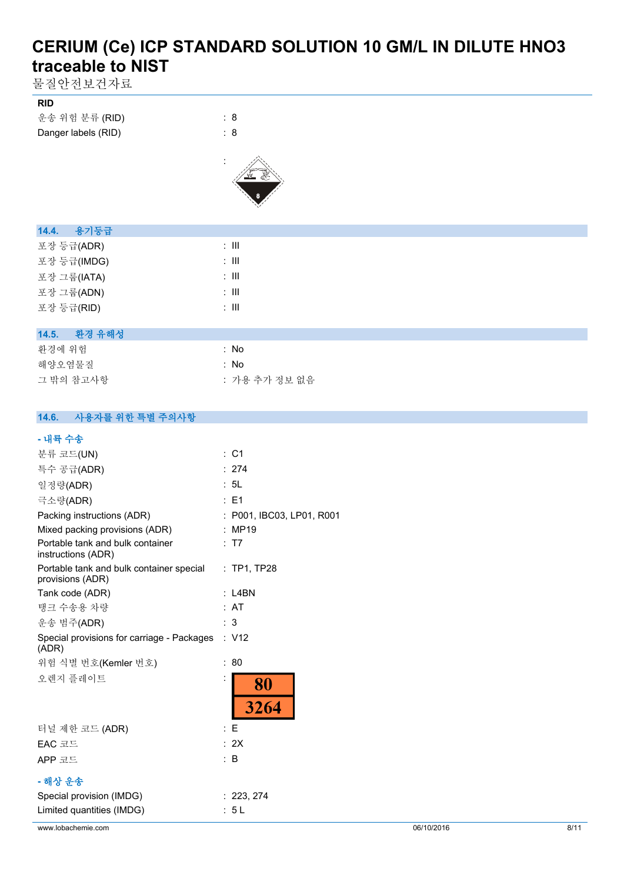물질안전보건자료

| <b>RID</b>          |     |
|---------------------|-----|
| 운송 위험 분류 (RID)      | : 8 |
| Danger labels (RID) | : 8 |



| 14.4. 용기둥급      |       |
|-----------------|-------|
| 포장 등급(ADR)      | : III |
| 포장 등급(IMDG)     | : III |
| 포장 그룹(IATA)     | : III |
| 포장 그룹(ADN)      | : III |
| 포장 등급(RID)      | : III |
|                 |       |
| 환경 유해성<br>14.5. |       |

| : No          |
|---------------|
| : No          |
| : 가용 추가 정보 없음 |
|               |

### **14.6. 사용자를 위한 특별 주의사항**

### **- 내륙 수송**

| - 71 - 71 10                                                 |                           |
|--------------------------------------------------------------|---------------------------|
| 분류 코드(UN)                                                    | : C1                      |
| 특수 공급(ADR)                                                   | : 274                     |
| 일정량(ADR)                                                     | : 5L                      |
| 극소량(ADR)                                                     | : E1                      |
| Packing instructions (ADR)                                   | : P001, IBC03, LP01, R001 |
| Mixed packing provisions (ADR)                               | : MP19                    |
| Portable tank and bulk container<br>instructions (ADR)       | : T7                      |
| Portable tank and bulk container special<br>provisions (ADR) | $:$ TP1, TP28             |
| Tank code (ADR)                                              | L4BN                      |
| 탱크 수송용 차량                                                    | : AT                      |
| 운송 범주(ADR)                                                   | : 3                       |
| Special provisions for carriage - Packages<br>(ADR)          | : V12                     |
| 위험 식별 번호(Kemler 번호)                                          | 80<br>÷                   |
| 오렌지 플레이트                                                     | İ<br>80<br>3264           |
| 터널 제한 코드 (ADR)                                               | : E                       |
| EAC 코드                                                       | : 2X                      |
| APP 코드                                                       | : B                       |
| - 해상 운송                                                      |                           |
| Special provision (IMDG)                                     | : 223, 274                |
| Limited quantities (IMDG)                                    | : 5L                      |
|                                                              |                           |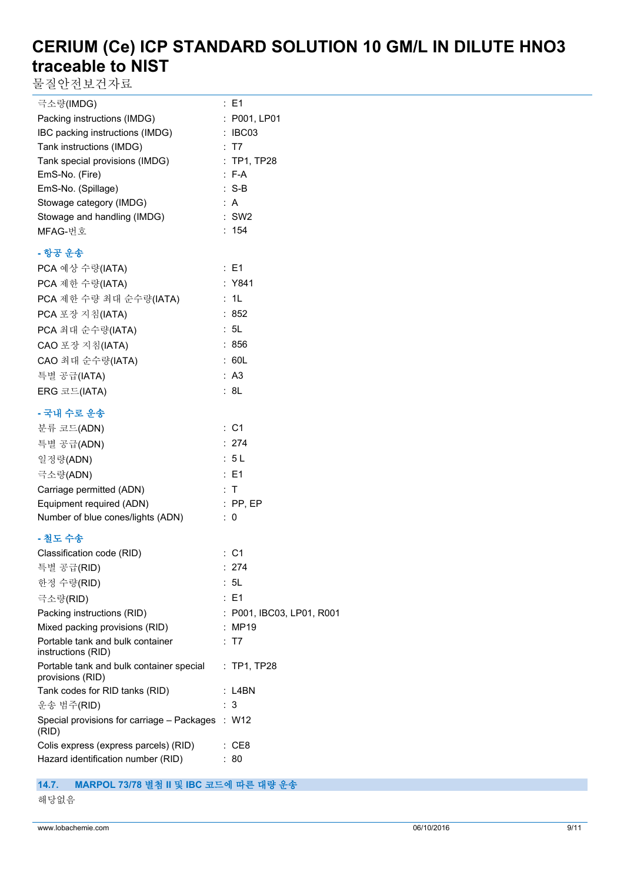물질안전보건자료

| 극소량(IMDG)                                                    | : E1                      |
|--------------------------------------------------------------|---------------------------|
| Packing instructions (IMDG)                                  | : P001, LP01              |
| IBC packing instructions (IMDG)                              | : IBC03                   |
| Tank instructions (IMDG)                                     | : T7                      |
| Tank special provisions (IMDG)                               | : TP1, TP28               |
| EmS-No. (Fire)                                               | $: F-A$                   |
| EmS-No. (Spillage)                                           | $: S-B$                   |
| Stowage category (IMDG)                                      | : A                       |
| Stowage and handling (IMDG)                                  | $:$ SW2                   |
| MFAG-번호                                                      | : 154                     |
| - 항공 운송                                                      |                           |
| PCA 예상 수량(IATA)                                              | : E1                      |
| PCA 제한 수량(IATA)                                              | : Y841                    |
| PCA 제한 수량 최대 순수량(IATA)                                       | : 1L                      |
| PCA 포장 지침(IATA)                                              | :852                      |
| PCA 최대 순수량(IATA)                                             | : 5L                      |
| CAO 포장 지침(IATA)                                              | : 856                     |
| CAO 최대 순수량(IATA)                                             | : 60L                     |
| 특별 공급(IATA)                                                  | : A3                      |
| ERG 코드(IATA)                                                 | : 8L                      |
|                                                              |                           |
| - 국내 수로 운송                                                   |                           |
| 분류 코드(ADN)                                                   | : C1                      |
| 특별 공급(ADN)                                                   | : 274                     |
| 일정량(ADN)                                                     | : 5L                      |
| 극소량(ADN)                                                     | : E1                      |
| Carriage permitted (ADN)                                     | : T                       |
| Equipment required (ADN)                                     | $:$ PP, EP                |
| Number of blue cones/lights (ADN)                            | $\therefore$ 0            |
| - 철도 수송                                                      |                           |
| Classification code (RID)                                    | : C1                      |
| 특별 공급(RID)                                                   | 274                       |
| 한정 수량(RID)                                                   | : 5L                      |
| 극소량(RID)                                                     | $E = 1$                   |
| Packing instructions (RID)                                   | : P001, IBC03, LP01, R001 |
| Mixed packing provisions (RID)                               | : MP19                    |
| Portable tank and bulk container<br>instructions (RID)       | : T7                      |
| Portable tank and bulk container special<br>provisions (RID) | $\therefore$ TP1, TP28    |
| Tank codes for RID tanks (RID)                               | $:$ L4BN                  |
| 운송 범주(RID)                                                   | : 3                       |
| Special provisions for carriage - Packages : W12<br>(RID)    |                           |
| Colis express (express parcels) (RID)                        | $\therefore$ CE8          |
| Hazard identification number (RID)<br>$\therefore 80$        |                           |

# **14.7. MARPOL 73/78 별첨 II 및 IBC 코드에 따른 대량 운송**

해당없음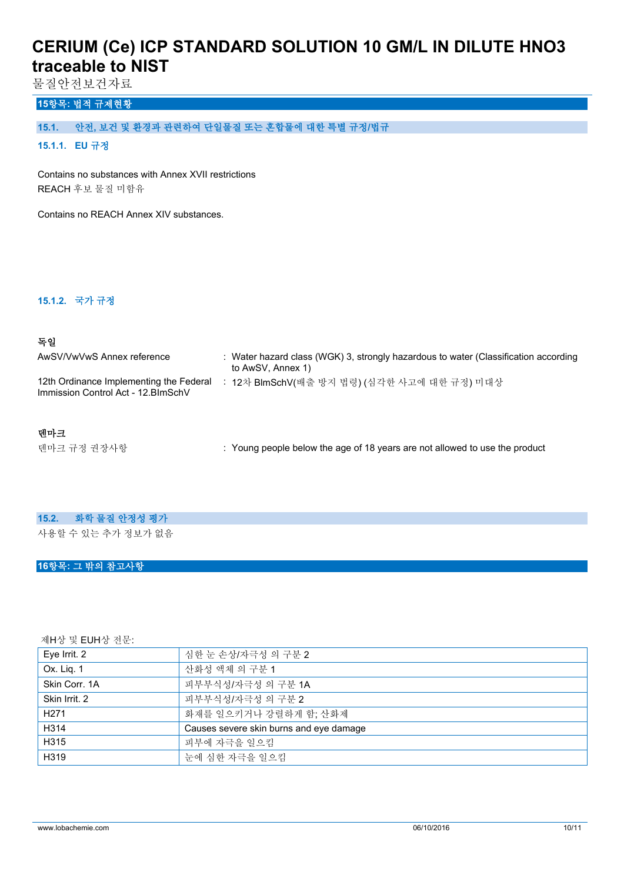물질안전보건자료

# **15항목: 법적 규제현황**

# **15.1. 안전, 보건 및 환경과 관련하여 단일물질 또는 혼합물에 대한 특별 규정/법규**

### **15.1.1. EU 규정**

Contains no substances with Annex XVII restrictions REACH 후보 물질 미함유

Contains no REACH Annex XIV substances.

#### **15.1.2. 국가 규정**

### **독일**

| AwSV/VwVwS Annex reference                                                     | Water hazard class (WGK) 3, strongly hazardous to water (Classification according<br>to AwSV, Annex 1) |
|--------------------------------------------------------------------------------|--------------------------------------------------------------------------------------------------------|
| 12th Ordinance Implementing the Federal<br>Immission Control Act - 12. BlmSchV | 12차 BlmSchV(배출 방지 법령) (심각한 사고에 대한 규정) 미대상                                                              |

### **덴마크**

덴마크 규정 권장사항 **: Young people below the age of 18 years are not allowed to use the product** 

### **15.2. 화학 물질 안정성 평가**

사용할 수 있는 추가 정보가 없음

#### **16항목: 그 밖의 참고사항**

제H상 및 EUH상 전문:

| Eye Irrit. 2     | 심한 눈 손상/자극성 의 구분 2                      |  |
|------------------|-----------------------------------------|--|
| Ox. Lig. 1       | 산화성 액체 의 구분 1                           |  |
| Skin Corr, 1A    | 피부부식성/자극성 의 구분 1A                       |  |
| Skin Irrit. 2    | 피부부식성/자극성 의 구분 2                        |  |
| H <sub>271</sub> | 화재를 일으키거나 강렬하게 함; 산화제                   |  |
| H314             | Causes severe skin burns and eye damage |  |
| H315             | 피부에 자극을 일으킴                             |  |
| H319             | 눈에 심한 자극을 일으킴                           |  |